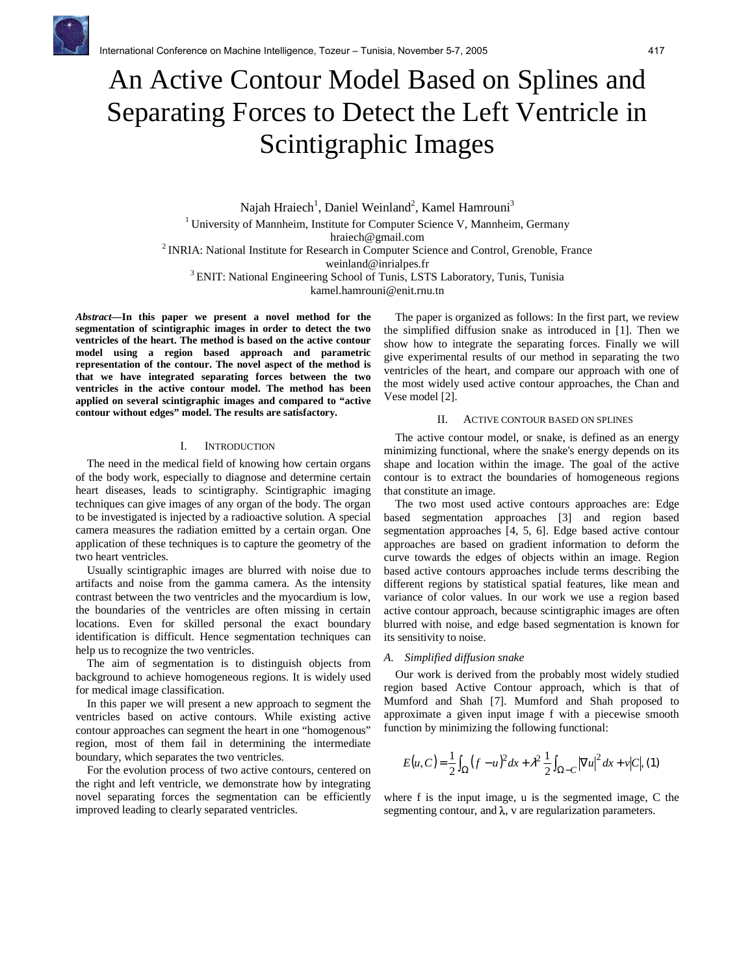

# An Active Contour Model Based on Splines and Separating Forces to Detect the Left Ventricle in Scintigraphic Images

Najah Hraiech<sup>1</sup>, Daniel Weinland<sup>2</sup>, Kamel Hamrouni<sup>3</sup> <sup>1</sup> University of Mannheim, Institute for Computer Science V, Mannheim, Germany hraiech@gmail.com <sup>2</sup> INRIA: National Institute for Research in Computer Science and Control, Grenoble, France weinland@inrialpes.fr <sup>3</sup> ENIT: National Engineering School of Tunis, LSTS Laboratory, Tunis, Tunisia

kamel.hamrouni@enit.rnu.tn

*Abstract***—In this paper we present a novel method for the segmentation of scintigraphic images in order to detect the two ventricles of the heart. The method is based on the active contour model using a region based approach and parametric representation of the contour. The novel aspect of the method is that we have integrated separating forces between the two ventricles in the active contour model. The method has been applied on several scintigraphic images and compared to "active contour without edges" model. The results are satisfactory.**

## I. INTRODUCTION

The need in the medical field of knowing how certain organs of the body work, especially to diagnose and determine certain heart diseases, leads to scintigraphy. Scintigraphic imaging techniques can give images of any organ of the body. The organ to be investigated is injected by a radioactive solution. A special camera measures the radiation emitted by a certain organ. One application of these techniques is to capture the geometry of the two heart ventricles.

Usually scintigraphic images are blurred with noise due to artifacts and noise from the gamma camera. As the intensity contrast between the two ventricles and the myocardium is low, the boundaries of the ventricles are often missing in certain locations. Even for skilled personal the exact boundary identification is difficult. Hence segmentation techniques can help us to recognize the two ventricles.

The aim of segmentation is to distinguish objects from background to achieve homogeneous regions. It is widely used for medical image classification.

In this paper we will present a new approach to segment the ventricles based on active contours. While existing active contour approaches can segment the heart in one "homogenous" region, most of them fail in determining the intermediate boundary, which separates the two ventricles.

For the evolution process of two active contours, centered on the right and left ventricle, we demonstrate how by integrating novel separating forces the segmentation can be efficiently improved leading to clearly separated ventricles.

The paper is organized as follows: In the first part, we review the simplified diffusion snake as introduced in [1]. Then we show how to integrate the separating forces. Finally we will give experimental results of our method in separating the two ventricles of the heart, and compare our approach with one of the most widely used active contour approaches, the Chan and Vese model [2].

# II. ACTIVE CONTOUR BASED ON SPLINES

The active contour model, or snake, is defined as an energy minimizing functional, where the snake's energy depends on its shape and location within the image. The goal of the active contour is to extract the boundaries of homogeneous regions that constitute an image.

The two most used active contours approaches are: Edge based segmentation approaches [3] and region based segmentation approaches [4, 5, 6]. Edge based active contour approaches are based on gradient information to deform the curve towards the edges of objects within an image. Region based active contours approaches include terms describing the different regions by statistical spatial features, like mean and variance of color values. In our work we use a region based active contour approach, because scintigraphic images are often blurred with noise, and edge based segmentation is known for its sensitivity to noise.

#### *A. Simplified diffusion snake*

Our work is derived from the probably most widely studied region based Active Contour approach, which is that of Mumford and Shah [7]. Mumford and Shah proposed to approximate a given input image f with a piecewise smooth function by minimizing the following functional:

$$
E(u, C) = \frac{1}{2} \int_{\Omega} (f - u)^2 dx + \lambda^2 \frac{1}{2} \int_{\Omega - C} |\nabla u|^2 dx + v|C|, (1)
$$

where f is the input image, u is the segmented image, C the segmenting contour, and  $\lambda$ , v are regularization parameters.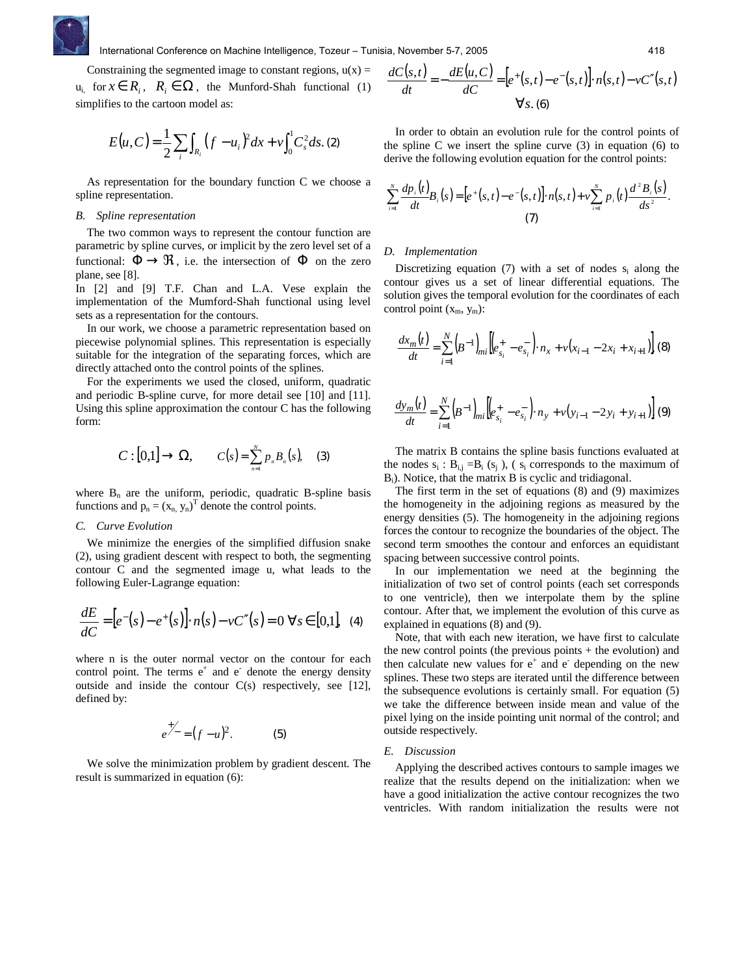

Constraining the segmented image to constant regions,  $u(x) =$  $u_{i,j}$  for  $x \in R_i$ ,  $R_i \in Ω$ , the Munford-Shah functional (1) simplifies to the cartoon model as:

$$
E(u, C) = \frac{1}{2} \sum_{i} \int_{R_i} (f - u_i)^2 dx + v \int_0^1 C_s^2 ds. (2)
$$

As representation for the boundary function C we choose a spline representation.

#### *B. Spline representation*

The two common ways to represent the contour function are parametric by spline curves, or implicit by the zero level set of a functional:  $\Phi \to \mathfrak{R}$ , i.e. the intersection of  $\Phi$  on the zero plane, see [8].

In [2] and [9] T.F. Chan and L.A. Vese explain the implementation of the Mumford-Shah functional using level sets as a representation for the contours.

In our work, we choose a parametric representation based on piecewise polynomial splines. This representation is especially suitable for the integration of the separating forces, which are directly attached onto the control points of the splines.

For the experiments we used the closed, uniform, quadratic and periodic B-spline curve, for more detail see [10] and [11]. Using this spline approximation the contour C has the following form:

$$
C: [0,1] \to \Omega, \qquad C(s) = \sum_{n=1}^{N} p_n B_n(s), \quad (3)
$$

where  $B_n$  are the uniform, periodic, quadratic B-spline basis functions and  $p_n = (x_n, y_n)^T$  denote the control points.

# *C. Curve Evolution*

We minimize the energies of the simplified diffusion snake (2), using gradient descent with respect to both, the segmenting contour C and the segmented image u, what leads to the following Euler-Lagrange equation:

$$
\frac{dE}{dC} = [e^-(s) - e^+(s)]. \quad n(s) - \nu C''(s) = 0 \quad \forall s \in [0,1], \quad (4)
$$

where n is the outer normal vector on the contour for each control point. The terms  $e^+$  and  $e^-$  denote the energy density outside and inside the contour C(s) respectively, see [12], defined by:

$$
e^{+\!\!-\!} = (f - u)^2. \tag{5}
$$

We solve the minimization problem by gradient descent. The result is summarized in equation (6):

$$
\frac{dC(s,t)}{dt} = -\frac{dE(u,C)}{dC} = \left[e^+(s,t) - e^-(s,t)\right] \cdot n(s,t) - vC''(s,t)
$$
  

$$
\forall s. (6)
$$

In order to obtain an evolution rule for the control points of the spline C we insert the spline curve  $(3)$  in equation  $(6)$  to derive the following evolution equation for the control points:

$$
\sum_{i=1}^{N} \frac{dp_i(t)}{dt} B_i(s) = [e^+(s,t) - e^-(s,t)] \cdot n(s,t) + v \sum_{i=1}^{N} p_i(t) \frac{d^2 B_i(s)}{ds^2}.
$$
\n(7)

#### *D. Implementation*

Discretizing equation (7) with a set of nodes  $s_i$  along the contour gives us a set of linear differential equations. The solution gives the temporal evolution for the coordinates of each control point  $(x_m, y_m)$ :

$$
\frac{dx_m(t)}{dt} = \sum_{i=1}^N (B^{-1})_{mi} \left[ \left( e_{s_i}^+ - e_{s_i}^- \right) \cdot n_x + v(x_{i-1} - 2x_i + x_{i+1}) \right] (8)
$$

$$
\frac{dy_m(t)}{dt} = \sum_{i=1}^{N} (B^{-1})_{mi} \left[ \left( e_{s_i}^+ - e_{s_i}^- \right) \cdot n_y + v \left( y_{i-1} - 2y_i + y_{i+1} \right) \right] (9)
$$

The matrix B contains the spline basis functions evaluated at the nodes  $s_i$ :  $B_{i,j} = B_i$  ( $s_j$ ), ( $s_i$  corresponds to the maximum of Bi). Notice, that the matrix B is cyclic and tridiagonal.

The first term in the set of equations (8) and (9) maximizes the homogeneity in the adjoining regions as measured by the energy densities (5). The homogeneity in the adjoining regions forces the contour to recognize the boundaries of the object. The second term smoothes the contour and enforces an equidistant spacing between successive control points.

In our implementation we need at the beginning the initialization of two set of control points (each set corresponds to one ventricle), then we interpolate them by the spline contour. After that, we implement the evolution of this curve as explained in equations (8) and (9).

Note, that with each new iteration, we have first to calculate the new control points (the previous points + the evolution) and then calculate new values for  $e^+$  and  $e^-$  depending on the new splines. These two steps are iterated until the difference between the subsequence evolutions is certainly small. For equation (5) we take the difference between inside mean and value of the pixel lying on the inside pointing unit normal of the control; and outside respectively.

#### *E. Discussion*

Applying the described actives contours to sample images we realize that the results depend on the initialization: when we have a good initialization the active contour recognizes the two ventricles. With random initialization the results were not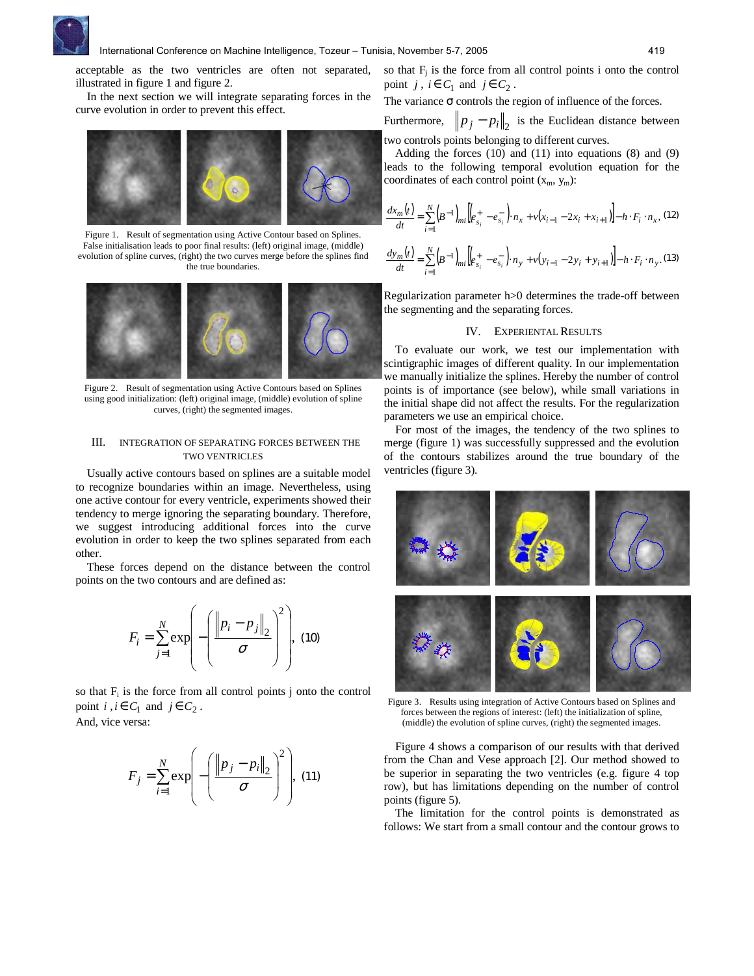

acceptable as the two ventricles are often not separated, illustrated in figure 1 and figure 2.

In the next section we will integrate separating forces in the curve evolution in order to prevent this effect.



Figure 1. Result of segmentation using Active Contour based on Splines. False initialisation leads to poor final results: (left) original image, (middle) evolution of spline curves, (right) the two curves merge before the splines find the true boundaries.



Figure 2. Result of segmentation using Active Contours based on Splines using good initialization: (left) original image, (middle) evolution of spline curves, (right) the segmented images.

### III. INTEGRATION OF SEPARATING FORCES BETWEEN THE TWO VENTRICLES

Usually active contours based on splines are a suitable model to recognize boundaries within an image. Nevertheless, using one active contour for every ventricle, experiments showed their tendency to merge ignoring the separating boundary. Therefore, we suggest introducing additional forces into the curve evolution in order to keep the two splines separated from each other.

These forces depend on the distance between the control points on the two contours and are defined as:

$$
F_i = \sum_{j=1}^{N} \exp\left(-\left(\frac{\left\|p_i - p_j\right\|_2}{\sigma}\right)^2\right), \tag{10}
$$

so that  $F_i$  is the force from all control points j onto the control point  $i, i \in C_1$  and  $j \in C_2$ . And, vice versa:

$$
F_j = \sum_{i=1}^{N} \exp\left(-\left(\frac{\left\|p_j - p_i\right\|_2}{\sigma}\right)^2\right), \quad (11)
$$

The variance  $\sigma$  controls the region of influence of the forces.

Furthermore,  $p_j - p_i\|_2$  is the Euclidean distance between two controls points belonging to different curves.

Adding the forces (10) and (11) into equations (8) and (9) leads to the following temporal evolution equation for the coordinates of each control point  $(x_m, y_m)$ :

$$
\frac{dx_m(t)}{dt} = \sum_{i=1}^{N} \left( B^{-1} \right)_{mi} \left[ \left( e_{s_i}^+ - e_{s_i}^- \right) \cdot n_x + v(x_{i-1} - 2x_i + x_{i+1}) \right] - h \cdot F_i \cdot n_x, \tag{12}
$$

$$
\frac{dy_m(t)}{dt} = \sum_{i=1}^{N} (B^{-1})_{mi} \left[ \left( e_{s_i}^+ - e_{s_i}^- \right) \cdot n_y + v(y_{i-1} - 2y_i + y_{i+1}) \right] - h \cdot F_i \cdot n_y. \tag{13}
$$

Regularization parameter h>0 determines the trade-off between the segmenting and the separating forces.

# IV. EXPERIENTAL RESULTS

To evaluate our work, we test our implementation with scintigraphic images of different quality. In our implementation we manually initialize the splines. Hereby the number of control points is of importance (see below), while small variations in the initial shape did not affect the results. For the regularization parameters we use an empirical choice.

For most of the images, the tendency of the two splines to merge (figure 1) was successfully suppressed and the evolution of the contours stabilizes around the true boundary of the ventricles (figure 3).



Figure 3. Results using integration of Active Contours based on Splines and forces between the regions of interest: (left) the initialization of spline, (middle) the evolution of spline curves, (right) the segmented images.

Figure 4 shows a comparison of our results with that derived from the Chan and Vese approach [2]. Our method showed to be superior in separating the two ventricles (e.g. figure 4 top row), but has limitations depending on the number of control points (figure 5).

The limitation for the control points is demonstrated as follows: We start from a small contour and the contour grows to